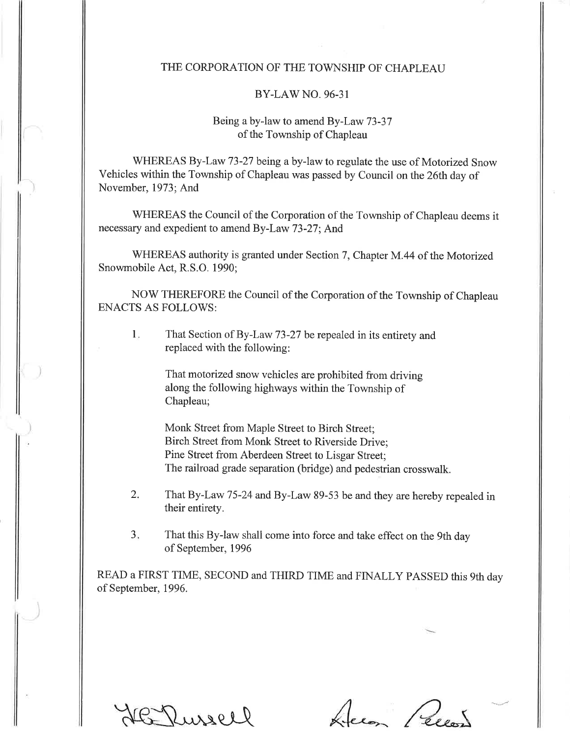## THE CORPORATION OF THE TOWNSHIP OF CHAPLEAU

## BY-LAWNO.96-31

## Being a by-law to amend By-Law 73-37 of the Township of Chapleau

WHEREAS By-Law 73-27 being a by-law to regulate the use of Motorized Snow Vehicles within the Township of Chapleau was passed by Council on the 26th day of November,1973; And

WHEREAS the Council of the Corporation of the Township of Chapleau deems it necessary and expedient to amend By-Law 73-27; And

WHEREAS authority is granted under Section 7, Chapter M.44 of the Motorized Snowmobile Act, R.S.O. 1990;

NOW THEREFORE the Council of the Corporation of the Township of Chapleau ENACTS AS FOLLOWS:

That Section of By-Law 73-27 be repealed in its entirety and replaced with the following:  $1.$ 

> That motorized snow vehicles are prohibited from driving along the following highways within the Township of Chapleau;

Monk Street from Maple Street to Birch Street; Birch Street from Monk Street to Riverside Drive; Pine Street from Aberdeen Street to Lisgar Street; The railroad grade separation (bridge) and pedestrian crosswalk.

- That By-Law 75-24 and By-Law 89-53 be and they are hereby repealed in their entirety. 2.
- That this By-law shall come into force and take effect on the 9th day of September,1996  $3.$

READ a FIRST TIME, SECOND and THIRD TIME and FINALLY PASSED this 9th day of September, 1996.

Dussell

Jecon Pecon